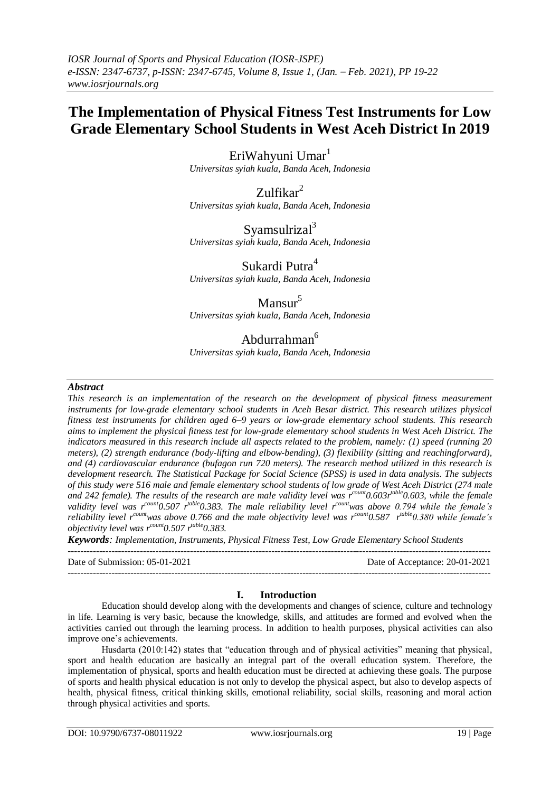# **The Implementation of Physical Fitness Test Instruments for Low Grade Elementary School Students in West Aceh District In 2019**

EriWahyuni Umar $<sup>1</sup>$ </sup> *Universitas syiah kuala, Banda Aceh, Indonesia*

 $Zulfikar<sup>2</sup>$ *Universitas syiah kuala, Banda Aceh, Indonesia*

Syamsulrizal $3$ *Universitas syiah kuala, Banda Aceh, Indonesia*

Sukardi Putra<sup>4</sup> *Universitas syiah kuala, Banda Aceh, Indonesia*

 $Mansur<sup>5</sup>$ 

*Universitas syiah kuala, Banda Aceh, Indonesia*

## Abdurrahman<sup>6</sup>

*Universitas syiah kuala, Banda Aceh, Indonesia*

## *Abstract*

*This research is an implementation of the research on the development of physical fitness measurement instruments for low-grade elementary school students in Aceh Besar district. This research utilizes physical fitness test instruments for children aged 6–9 years or low-grade elementary school students. This research aims to implement the physical fitness test for low-grade elementary school students in West Aceh District. The indicators measured in this research include all aspects related to the problem, namely: (1) speed (running 20 meters), (2) strength endurance (body-lifting and elbow-bending), (3) flexibility (sitting and reachingforward), and (4) cardiovascular endurance (bufagon run 720 meters). The research method utilized in this research is development research. The Statistical Package for Social Science (SPSS) is used in data analysis. The subjects of this study were 516 male and female elementary school students of low grade of West Aceh District (274 male*  and 242 female). The results of the research are male validity level was r<sup>count</sup>0.603r<sup>table</sup>0.603, while the female validity level was r<sup>count</sup>0.507 r<sup>table</sup>0.383. The male reliability level r<sup>count</sup>was above 0.794 while the female's reliability level r<sup>count</sup>was above 0.766 and the male objectivity level was r<sup>count</sup>0.587 r<sup>table</sup>0.380 while female's *objectivity level was r count0.507 r table0.383.*

*Keywords: Implementation, Instruments, Physical Fitness Test, Low Grade Elementary School Students*  $-1\leq i\leq n-1$ 

Date of Submission: 05-01-2021 Date of Acceptance: 20-01-2021

## **I. Introduction**

---------------------------------------------------------------------------------------------------------------------------------------

Education should develop along with the developments and changes of science, culture and technology in life. Learning is very basic, because the knowledge, skills, and attitudes are formed and evolved when the activities carried out through the learning process. In addition to health purposes, physical activities can also improve one's achievements.

Husdarta (2010:142) states that "education through and of physical activities" meaning that physical, sport and health education are basically an integral part of the overall education system. Therefore, the implementation of physical, sports and health education must be directed at achieving these goals. The purpose of sports and health physical education is not only to develop the physical aspect, but also to develop aspects of health, physical fitness, critical thinking skills, emotional reliability, social skills, reasoning and moral action through physical activities and sports.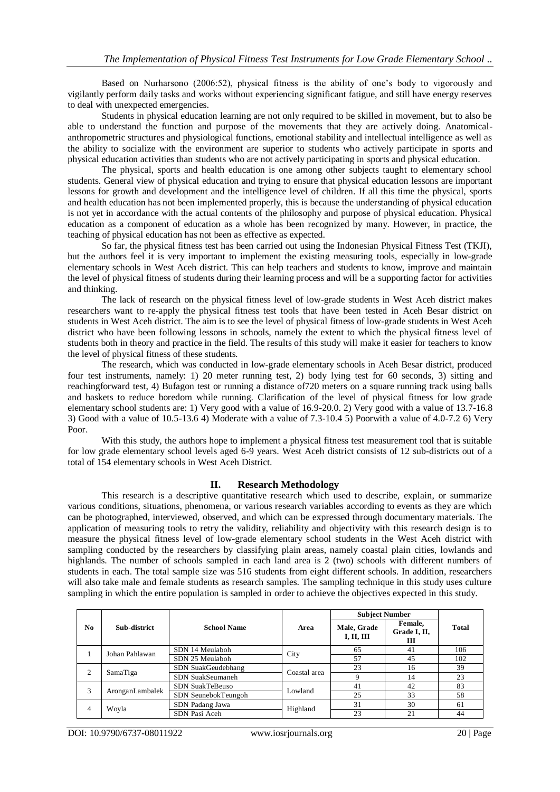Based on Nurharsono (2006:52), physical fitness is the ability of one's body to vigorously and vigilantly perform daily tasks and works without experiencing significant fatigue, and still have energy reserves to deal with unexpected emergencies.

Students in physical education learning are not only required to be skilled in movement, but to also be able to understand the function and purpose of the movements that they are actively doing. Anatomicalanthropometric structures and physiological functions, emotional stability and intellectual intelligence as well as the ability to socialize with the environment are superior to students who actively participate in sports and physical education activities than students who are not actively participating in sports and physical education.

The physical, sports and health education is one among other subjects taught to elementary school students. General view of physical education and trying to ensure that physical education lessons are important lessons for growth and development and the intelligence level of children. If all this time the physical, sports and health education has not been implemented properly, this is because the understanding of physical education is not yet in accordance with the actual contents of the philosophy and purpose of physical education. Physical education as a component of education as a whole has been recognized by many. However, in practice, the teaching of physical education has not been as effective as expected.

So far, the physical fitness test has been carried out using the Indonesian Physical Fitness Test (TKJI), but the authors feel it is very important to implement the existing measuring tools, especially in low-grade elementary schools in West Aceh district. This can help teachers and students to know, improve and maintain the level of physical fitness of students during their learning process and will be a supporting factor for activities and thinking.

The lack of research on the physical fitness level of low-grade students in West Aceh district makes researchers want to re-apply the physical fitness test tools that have been tested in Aceh Besar district on students in West Aceh district. The aim is to see the level of physical fitness of low-grade students in West Aceh district who have been following lessons in schools, namely the extent to which the physical fitness level of students both in theory and practice in the field. The results of this study will make it easier for teachers to know the level of physical fitness of these students.

The research, which was conducted in low-grade elementary schools in Aceh Besar district, produced four test instruments, namely: 1) 20 meter running test, 2) body lying test for 60 seconds, 3) sitting and reachingforward test, 4) Bufagon test or running a distance of720 meters on a square running track using balls and baskets to reduce boredom while running. Clarification of the level of physical fitness for low grade elementary school students are: 1) Very good with a value of 16.9-20.0. 2) Very good with a value of 13.7-16.8 3) Good with a value of 10.5-13.6 4) Moderate with a value of 7.3-10.4 5) Poorwith a value of 4.0-7.2 6) Very Poor.

With this study, the authors hope to implement a physical fitness test measurement tool that is suitable for low grade elementary school levels aged 6-9 years. West Aceh district consists of 12 sub-districts out of a total of 154 elementary schools in West Aceh District.

### **II. Research Methodology**

This research is a descriptive quantitative research which used to describe, explain, or summarize various conditions, situations, phenomena, or various research variables according to events as they are which can be photographed, interviewed, observed, and which can be expressed through documentary materials. The application of measuring tools to retry the validity, reliability and objectivity with this research design is to measure the physical fitness level of low-grade elementary school students in the West Aceh district with sampling conducted by the researchers by classifying plain areas, namely coastal plain cities, lowlands and highlands. The number of schools sampled in each land area is 2 (two) schools with different numbers of students in each. The total sample size was 516 students from eight different schools. In addition, researchers will also take male and female students as research samples. The sampling technique in this study uses culture sampling in which the entire population is sampled in order to achieve the objectives expected in this study.

| N <sub>0</sub> | Sub-district    | <b>School Name</b>     | Area         | <b>Subject Number</b>     |                              |              |
|----------------|-----------------|------------------------|--------------|---------------------------|------------------------------|--------------|
|                |                 |                        |              | Male, Grade<br>I, II, III | Female,<br>Grade I, II,<br>Ш | <b>Total</b> |
|                | Johan Pahlawan  | SDN 14 Meulaboh        | City         | 65                        | 41                           | 106          |
|                |                 | SDN 25 Meulaboh        |              | 57                        | 45                           | 102          |
| 2              | SamaTiga        | SDN SuakGeudebhang     | Coastal area | 23                        | 16                           | 39           |
|                |                 | SDN SuakSeumaneh       |              |                           | 14                           | 23           |
| 3              | AronganLambalek | <b>SDN SuakTeBeuso</b> | Lowland      | 41                        | 42                           | 83           |
|                |                 | SDN SeunebokTeungoh    |              | 25                        | 33                           | 58           |
| 4              | Woyla           | SDN Padang Jawa        | Highland     | 31                        | 30                           | 61           |
|                |                 | SDN Pasi Aceh          |              | 23                        | 21                           | 44           |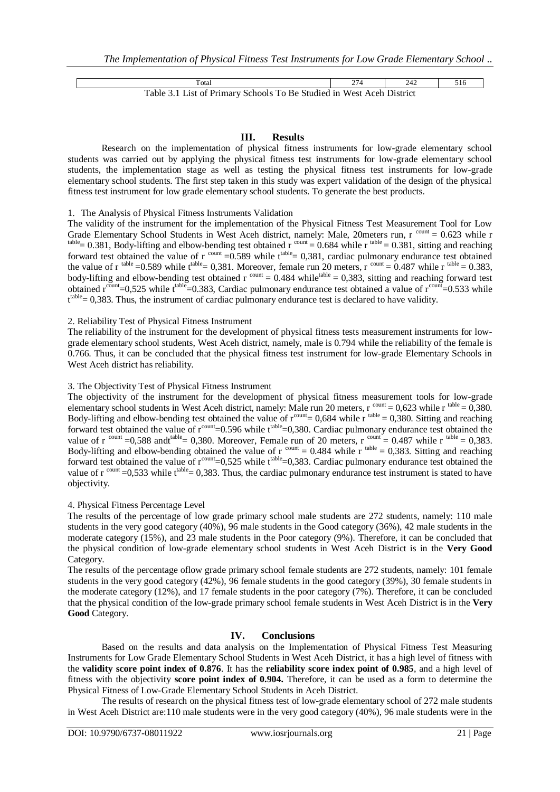Total 274 242 516 Table 3.1 List of Primary Schools To Be Studied in West Aceh District

#### **III. Results**

Research on the implementation of physical fitness instruments for low-grade elementary school students was carried out by applying the physical fitness test instruments for low-grade elementary school students, the implementation stage as well as testing the physical fitness test instruments for low-grade elementary school students. The first step taken in this study was expert validation of the design of the physical fitness test instrument for low grade elementary school students. To generate the best products.

#### 1. The Analysis of Physical Fitness Instruments Validation

The validity of the instrument for the implementation of the Physical Fitness Test Measurement Tool for Low Grade Elementary School Students in West Aceh district, namely: Male, 20meters run, r count = 0.623 while r  $t_{\text{table}} = 0.381$ , Body-lifting and elbow-bending test obtained r  $t_{\text{count}} = 0.684$  while r  $t_{\text{table}} = 0.381$ , sitting and reaching forward test obtained the value of r count = 0.589 while  $t^{\text{table}}$  = 0,381, cardiac pulmonary endurance test obtained the value of r<sup>table</sup> = 0.589 while t<sup>rable</sup> = 0,381. Moreover, female run 20 meters, r<sup>count</sup> = 0.487 while r<sup>table</sup> = 0.383, body-lifting and elbow-bending test obtained  $r^{count} = 0.484$  while<sup>table</sup> = 0,383, sitting and reaching forward test obtained  $r^{count}=0.525$  while  $t^{table}=0.383$ , Cardiac pulmonary endurance test obtained a value of  $r^{count}=0.533$  while  $t^{table} = 0,383$ . Thus, the instrument of cardiac pulmonary endurance test is declared to have validity.

#### 2. Reliability Test of Physical Fitness Instrument

The reliability of the instrument for the development of physical fitness tests measurement instruments for lowgrade elementary school students, West Aceh district, namely, male is 0.794 while the reliability of the female is 0.766. Thus, it can be concluded that the physical fitness test instrument for low-grade Elementary Schools in West Aceh district has reliability.

#### 3. The Objectivity Test of Physical Fitness Instrument

The objectivity of the instrument for the development of physical fitness measurement tools for low-grade elementary school students in West Aceh district, namely: Male run 20 meters,  $r^{count} = 0.623$  while  $r^{table} = 0.380$ . Body-lifting and elbow-bending test obtained the value of  $r^{count} = 0.684$  while  $r^{table} = 0.380$ . Sitting and reaching forward test obtained the value of  $r^{count}=0.596$  while  $t^{table}=0,380$ . Cardiac pulmonary endurance test obtained the value of r <sup>count</sup> =0,588 and t<sup>able</sup> = 0,380. Moreover, Female run of 20 meters, r <sup>count</sup> = 0.487 while r <sup>table</sup> = 0,383. Body-lifting and elbow-bending obtained the value of  $r^{count} = 0.484$  while  $r^{table} = 0.383$ . Sitting and reaching forward test obtained the value of  $r^{count}$ =0,525 while  $t^{table}$ =0,383. Cardiac pulmonary endurance test obtained the value of  $r^{count} = 0.533$  while  $t^{table} = 0.383$ . Thus, the cardiac pulmonary endurance test instrument is stated to have objectivity.

#### 4. Physical Fitness Percentage Level

The results of the percentage of low grade primary school male students are 272 students, namely: 110 male students in the very good category (40%), 96 male students in the Good category (36%), 42 male students in the moderate category (15%), and 23 male students in the Poor category (9%). Therefore, it can be concluded that the physical condition of low-grade elementary school students in West Aceh District is in the **Very Good** Category.

The results of the percentage oflow grade primary school female students are 272 students, namely: 101 female students in the very good category (42%), 96 female students in the good category (39%), 30 female students in the moderate category (12%), and 17 female students in the poor category (7%). Therefore, it can be concluded that the physical condition of the low-grade primary school female students in West Aceh District is in the **Very Good** Category.

#### **IV. Conclusions**

Based on the results and data analysis on the Implementation of Physical Fitness Test Measuring Instruments for Low Grade Elementary School Students in West Aceh District, it has a high level of fitness with the **validity score point index of 0.876**. It has the **reliability score index point of 0.985**, and a high level of fitness with the objectivity **score point index of 0.904.** Therefore, it can be used as a form to determine the Physical Fitness of Low-Grade Elementary School Students in Aceh District.

The results of research on the physical fitness test of low-grade elementary school of 272 male students in West Aceh District are:110 male students were in the very good category (40%), 96 male students were in the